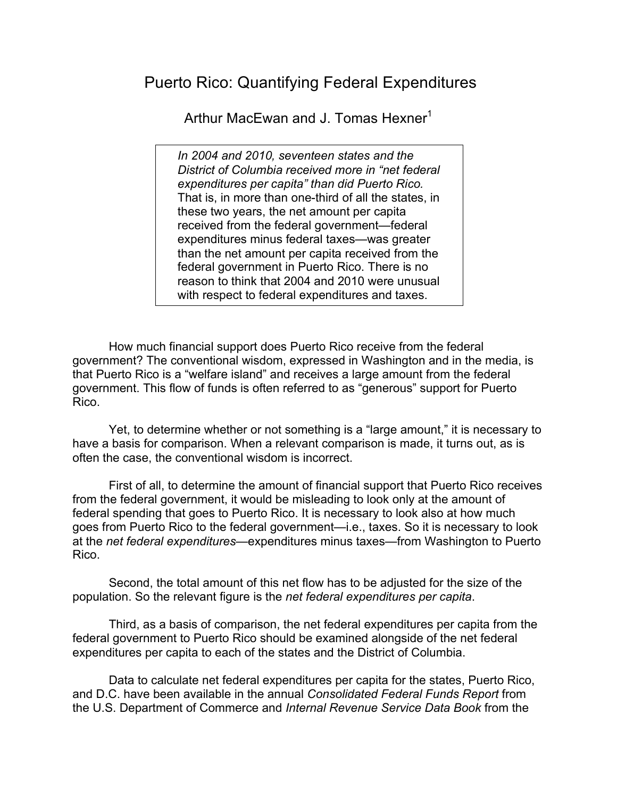## Puerto Rico: Quantifying Federal Expenditures

Arthur MacEwan and J. Tomas Hexner<sup>1</sup>

*In 2004 and 2010, seventeen states and the District of Columbia received more in "net federal expenditures per capita" than did Puerto Rico.*  That is, in more than one-third of all the states, in these two years, the net amount per capita received from the federal government—federal expenditures minus federal taxes—was greater than the net amount per capita received from the federal government in Puerto Rico. There is no reason to think that 2004 and 2010 were unusual with respect to federal expenditures and taxes.

How much financial support does Puerto Rico receive from the federal government? The conventional wisdom, expressed in Washington and in the media, is that Puerto Rico is a "welfare island" and receives a large amount from the federal government. This flow of funds is often referred to as "generous" support for Puerto Rico.

Yet, to determine whether or not something is a "large amount," it is necessary to have a basis for comparison. When a relevant comparison is made, it turns out, as is often the case, the conventional wisdom is incorrect.

First of all, to determine the amount of financial support that Puerto Rico receives from the federal government, it would be misleading to look only at the amount of federal spending that goes to Puerto Rico. It is necessary to look also at how much goes from Puerto Rico to the federal government—i.e., taxes. So it is necessary to look at the *net federal expenditures*—expenditures minus taxes—from Washington to Puerto Rico.

Second, the total amount of this net flow has to be adjusted for the size of the population. So the relevant figure is the *net federal expenditures per capita*.

Third, as a basis of comparison, the net federal expenditures per capita from the federal government to Puerto Rico should be examined alongside of the net federal expenditures per capita to each of the states and the District of Columbia.

Data to calculate net federal expenditures per capita for the states, Puerto Rico, and D.C. have been available in the annual *Consolidated Federal Funds Report* from the U.S. Department of Commerce and *Internal Revenue Service Data Book* from the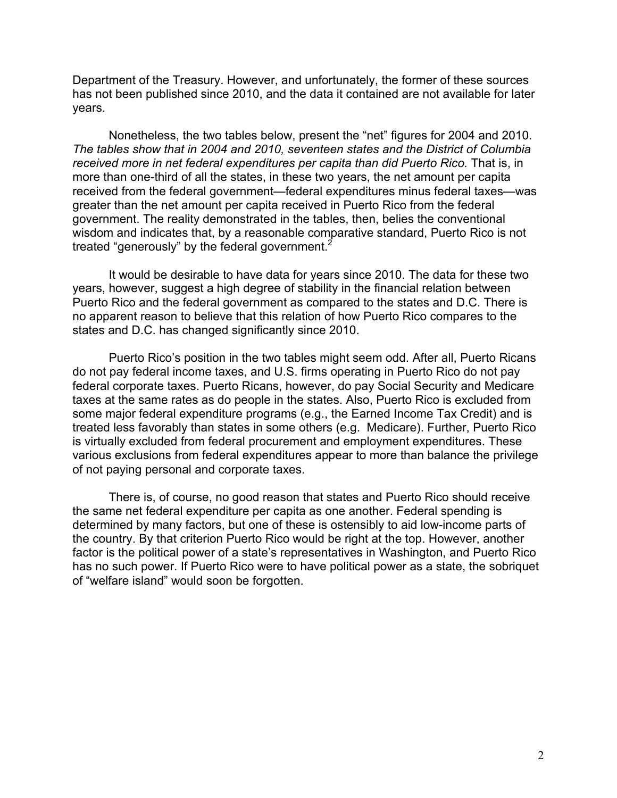Department of the Treasury. However, and unfortunately, the former of these sources has not been published since 2010, and the data it contained are not available for later years.

Nonetheless, the two tables below, present the "net" figures for 2004 and 2010. *The tables show that in 2004 and 2010, seventeen states and the District of Columbia*  received more in net federal expenditures per capita than did Puerto Rico. That is, in more than one-third of all the states, in these two years, the net amount per capita received from the federal government—federal expenditures minus federal taxes—was greater than the net amount per capita received in Puerto Rico from the federal government. The reality demonstrated in the tables, then, belies the conventional wisdom and indicates that, by a reasonable comparative standard, Puerto Rico is not treated "generously" by the federal government.<sup>2</sup>

It would be desirable to have data for years since 2010. The data for these two years, however, suggest a high degree of stability in the financial relation between Puerto Rico and the federal government as compared to the states and D.C. There is no apparent reason to believe that this relation of how Puerto Rico compares to the states and D.C. has changed significantly since 2010.

Puerto Rico's position in the two tables might seem odd. After all, Puerto Ricans do not pay federal income taxes, and U.S. firms operating in Puerto Rico do not pay federal corporate taxes. Puerto Ricans, however, do pay Social Security and Medicare taxes at the same rates as do people in the states. Also, Puerto Rico is excluded from some major federal expenditure programs (e.g., the Earned Income Tax Credit) and is treated less favorably than states in some others (e.g. Medicare). Further, Puerto Rico is virtually excluded from federal procurement and employment expenditures. These various exclusions from federal expenditures appear to more than balance the privilege of not paying personal and corporate taxes.

There is, of course, no good reason that states and Puerto Rico should receive the same net federal expenditure per capita as one another. Federal spending is determined by many factors, but one of these is ostensibly to aid low-income parts of the country. By that criterion Puerto Rico would be right at the top. However, another factor is the political power of a state's representatives in Washington, and Puerto Rico has no such power. If Puerto Rico were to have political power as a state, the sobriquet of "welfare island" would soon be forgotten.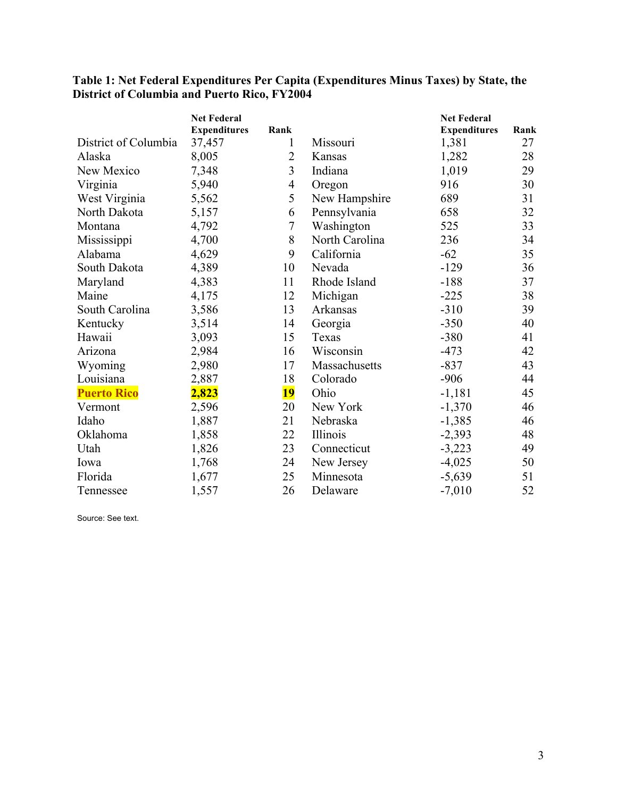|                      | <b>Net Federal</b>  |           |                | <b>Net Federal</b>  |      |
|----------------------|---------------------|-----------|----------------|---------------------|------|
|                      | <b>Expenditures</b> | Rank      |                | <b>Expenditures</b> | Rank |
| District of Columbia | 37,457              | 1         | Missouri       | 1,381               | 27   |
| Alaska               | 8,005               | 2         | Kansas         | 1,282               | 28   |
| New Mexico           | 7,348               | 3         | Indiana        | 1,019               | 29   |
| Virginia             | 5,940               | 4         | Oregon         | 916                 | 30   |
| West Virginia        | 5,562               | 5         | New Hampshire  | 689                 | 31   |
| North Dakota         | 5,157               | 6         | Pennsylvania   | 658                 | 32   |
| Montana              | 4,792               | $\tau$    | Washington     | 525                 | 33   |
| Mississippi          | 4,700               | 8         | North Carolina | 236                 | 34   |
| Alabama              | 4,629               | 9         | California     | $-62$               | 35   |
| South Dakota         | 4,389               | 10        | Nevada         | $-129$              | 36   |
| Maryland             | 4,383               | 11        | Rhode Island   | $-188$              | 37   |
| Maine                | 4,175               | 12        | Michigan       | $-225$              | 38   |
| South Carolina       | 3,586               | 13        | Arkansas       | $-310$              | 39   |
| Kentucky             | 3,514               | 14        | Georgia        | $-350$              | 40   |
| Hawaii               | 3,093               | 15        | Texas          | $-380$              | 41   |
| Arizona              | 2,984               | 16        | Wisconsin      | $-473$              | 42   |
| Wyoming              | 2,980               | 17        | Massachusetts  | $-837$              | 43   |
| Louisiana            | 2,887               | 18        | Colorado       | $-906$              | 44   |
| <b>Puerto Rico</b>   | 2,823               | <u>19</u> | Ohio           | $-1,181$            | 45   |
| Vermont              | 2,596               | 20        | New York       | $-1,370$            | 46   |
| Idaho                | 1,887               | 21        | Nebraska       | $-1,385$            | 46   |
| Oklahoma             | 1,858               | 22        | Illinois       | $-2,393$            | 48   |
| Utah                 | 1,826               | 23        | Connecticut    | $-3,223$            | 49   |
| Iowa                 | 1,768               | 24        | New Jersey     | $-4,025$            | 50   |
| Florida              | 1,677               | 25        | Minnesota      | $-5,639$            | 51   |
| Tennessee            | 1,557               | 26        | Delaware       | $-7,010$            | 52   |

## **Table 1: Net Federal Expenditures Per Capita (Expenditures Minus Taxes) by State, the District of Columbia and Puerto Rico, FY2004**

Source: See text.